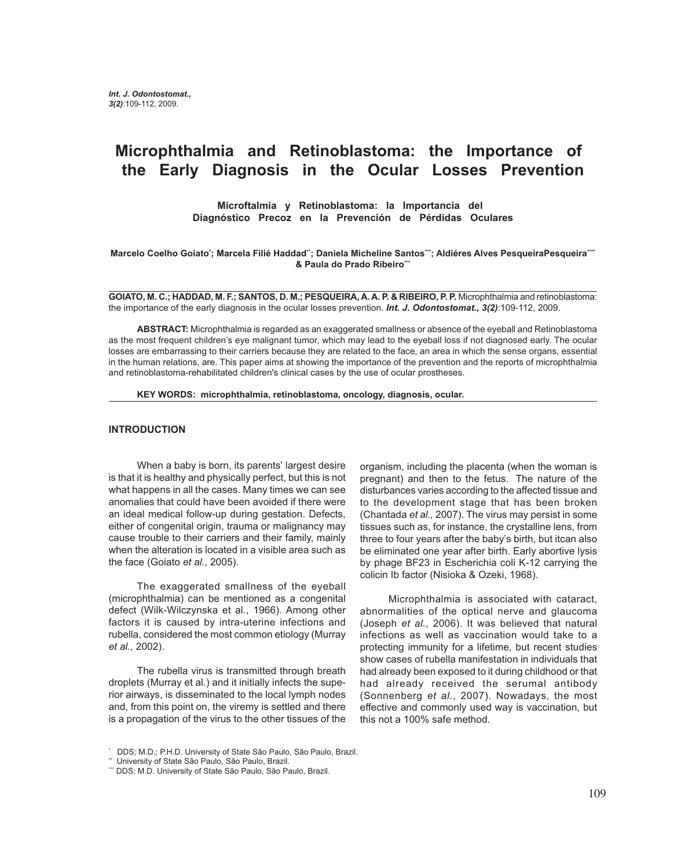# **Microphthalmia and Retinoblastoma: the Importance of the Early Diagnosis in the Ocular Losses Prevention**

**Microftalmia y Retinoblastoma: la Importancia del Diagnóstico Precoz en la Prevención de Pérdidas Oculares**

Marcelo Coelho Goiatoʻ; Marcela Filié Haddad¨; Daniela Micheline Santos<sup>≔</sup>; Aldiéres Alves PesqueiraPesqueira<sup>---</sup> **& Paula do Prado Ribeiro\*\*\***

**GOIATO, M. C.; HADDAD, M. F.; SANTOS, D. M.; PESQUEIRA, A. A. P. & RIBEIRO, P. P.** Microphthalmia and retinoblastoma: the importance of the early diagnosis in the ocular losses prevention. *Int. J. Odontostomat., 3(2)*:109-112, 2009.

**ABSTRACT:** Microphthalmia is regarded as an exaggerated smallness or absence of the eyeball and Retinoblastoma as the most frequent children's eye malignant tumor, which may lead to the eyeball loss if not diagnosed early. The ocular losses are embarrassing to their carriers because they are related to the face, an area in which the sense organs, essential in the human relations, are. This paper aims at showing the importance of the prevention and the reports of microphthalmia and retinoblastoma-rehabilitated children's clinical cases by the use of ocular prostheses.

**KEY WORDS: microphthalmia, retinoblastoma, oncology, diagnosis, ocular.**

#### **INTRODUCTION**

When a baby is born, its parents' largest desire is that it is healthy and physically perfect, but this is not what happens in all the cases. Many times we can see anomalies that could have been avoided if there were an ideal medical follow-up during gestation. Defects, either of congenital origin, trauma or malignancy may cause trouble to their carriers and their family, mainly when the alteration is located in a visible area such as the face (Goiato *et al.*, 2005).

The exaggerated smallness of the eyeball (microphthalmia) can be mentioned as a congenital defect (Wilk-Wilczynska et al., 1966). Among other factors it is caused by intra-uterine infections and rubella, considered the most common etiology (Murray *et al.*, 2002).

The rubella virus is transmitted through breath droplets (Murray et al.) and it initially infects the superior airways, is disseminated to the local lymph nodes and, from this point on, the viremy is settled and there is a propagation of the virus to the other tissues of the organism, including the placenta (when the woman is pregnant) and then to the fetus. The nature of the disturbances varies according to the affected tissue and to the development stage that has been broken (Chantada *et al.,* 2007). The virus may persist in some tissues such as, for instance, the crystalline lens, from three to four years after the baby's birth, but itcan also be eliminated one year after birth. Early abortive lysis by phage BF23 in Escherichia coli K-12 carrying the colicin Ib factor (Nisioka & Ozeki, 1968).

Microphthalmia is associated with cataract, abnormalities of the optical nerve and glaucoma (Joseph *et al.*, 2006). It was believed that natural infections as well as vaccination would take to a protecting immunity for a lifetime, but recent studies show cases of rubella manifestation in individuals that had already been exposed to it during childhood or that had already received the serumal antibody (Sonnenberg *et al.*, 2007). Nowadays, the most effective and commonly used way is vaccination, but this not a 100% safe method.

<sup>\*</sup> DDS; M.D.; P.H.D. University of State São Paulo, São Paulo, Brazil.

<sup>\*\*</sup> University of State São Paulo, São Paulo, Brazil.

<sup>\*\*\*</sup> DDS; M.D. University of State São Paulo, São Paulo, Brazil.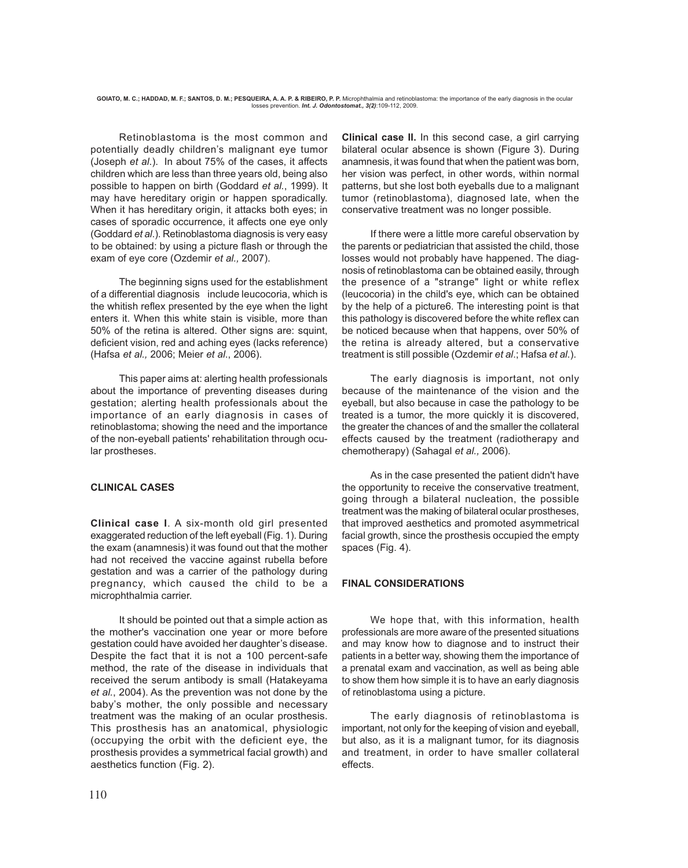Retinoblastoma is the most common and potentially deadly children's malignant eye tumor (Joseph *et al*.). In about 75% of the cases, it affects children which are less than three years old, being also possible to happen on birth (Goddard *et al.*, 1999). It may have hereditary origin or happen sporadically. When it has hereditary origin, it attacks both eyes; in cases of sporadic occurrence, it affects one eye only (Goddard *et al*.). Retinoblastoma diagnosis is very easy to be obtained: by using a picture flash or through the exam of eye core (Ozdemir *et al.,* 2007).

The beginning signs used for the establishment of a differential diagnosis include leucocoria, which is the whitish reflex presented by the eye when the light enters it. When this white stain is visible, more than 50% of the retina is altered. Other signs are: squint, deficient vision, red and aching eyes (lacks reference) (Hafsa *et al.,* 2006; Meier *et al*., 2006).

This paper aims at: alerting health professionals about the importance of preventing diseases during gestation; alerting health professionals about the importance of an early diagnosis in cases of retinoblastoma; showing the need and the importance of the non-eyeball patients' rehabilitation through ocular prostheses.

## **CLINICAL CASES**

**Clinical case I**. A six-month old girl presented exaggerated reduction of the left eyeball (Fig. 1). During the exam (anamnesis) it was found out that the mother had not received the vaccine against rubella before gestation and was a carrier of the pathology during pregnancy, which caused the child to be a microphthalmia carrier.

It should be pointed out that a simple action as the mother's vaccination one year or more before gestation could have avoided her daughter's disease. Despite the fact that it is not a 100 percent-safe method, the rate of the disease in individuals that received the serum antibody is small (Hatakeyama *et al.*, 2004). As the prevention was not done by the baby's mother, the only possible and necessary treatment was the making of an ocular prosthesis. This prosthesis has an anatomical, physiologic (occupying the orbit with the deficient eye, the prosthesis provides a symmetrical facial growth) and aesthetics function (Fig. 2).

**Clinical case II.** In this second case, a girl carrying bilateral ocular absence is shown (Figure 3). During anamnesis, it was found that when the patient was born, her vision was perfect, in other words, within normal patterns, but she lost both eyeballs due to a malignant tumor (retinoblastoma), diagnosed late, when the conservative treatment was no longer possible.

If there were a little more careful observation by the parents or pediatrician that assisted the child, those losses would not probably have happened. The diagnosis of retinoblastoma can be obtained easily, through the presence of a "strange" light or white reflex (leucocoria) in the child's eye, which can be obtained by the help of a picture6. The interesting point is that this pathology is discovered before the white reflex can be noticed because when that happens, over 50% of the retina is already altered, but a conservative treatment is still possible (Ozdemir *et al*.; Hafsa *et al.*).

The early diagnosis is important, not only because of the maintenance of the vision and the eyeball, but also because in case the pathology to be treated is a tumor, the more quickly it is discovered, the greater the chances of and the smaller the collateral effects caused by the treatment (radiotherapy and chemotherapy) (Sahagal *et al.,* 2006).

As in the case presented the patient didn't have the opportunity to receive the conservative treatment, going through a bilateral nucleation, the possible treatment was the making of bilateral ocular prostheses, that improved aesthetics and promoted asymmetrical facial growth, since the prosthesis occupied the empty spaces (Fig. 4).

## **FINAL CONSIDERATIONS**

We hope that, with this information, health professionals are more aware of the presented situations and may know how to diagnose and to instruct their patients in a better way, showing them the importance of a prenatal exam and vaccination, as well as being able to show them how simple it is to have an early diagnosis of retinoblastoma using a picture.

The early diagnosis of retinoblastoma is important, not only for the keeping of vision and eyeball, but also, as it is a malignant tumor, for its diagnosis and treatment, in order to have smaller collateral effects.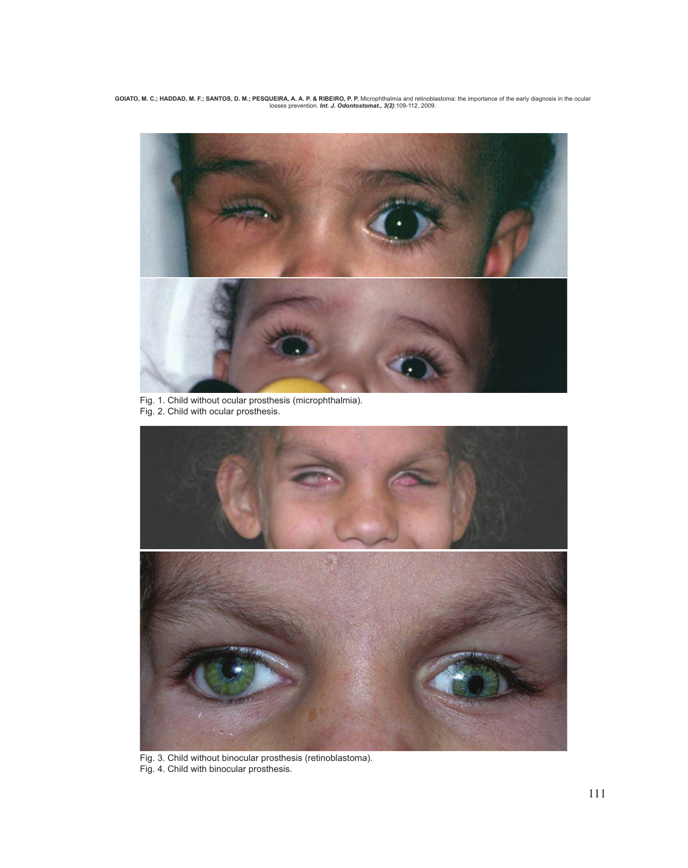GOIATO, M. C.; HADDAD, M. F.; SANTOS, D. M.; PESQUEIRA, A. A. P. & RIBEIRO, P. P. Microphthalmia and retinoblastoma: the importance of the early diagnosis in the ocular<br>Iosses prevention. *Int. J. Odontostomat., 3(2)*:109-



Fig. 1. Child without ocular prosthesis (microphthalmia). Fig. 2. Child with ocular prosthesis.



Fig. 3. Child without binocular prosthesis (retinoblastoma). Fig. 4. Child with binocular prosthesis.